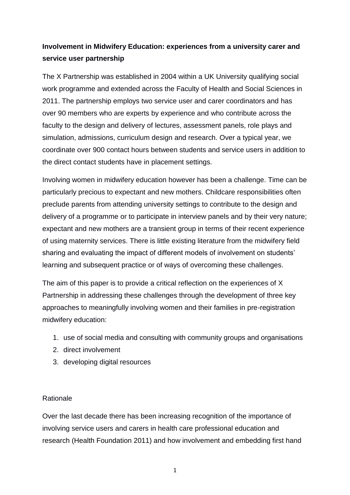# **Involvement in Midwifery Education: experiences from a university carer and service user partnership**

The X Partnership was established in 2004 within a UK University qualifying social work programme and extended across the Faculty of Health and Social Sciences in 2011. The partnership employs two service user and carer coordinators and has over 90 members who are experts by experience and who contribute across the faculty to the design and delivery of lectures, assessment panels, role plays and simulation, admissions, curriculum design and research. Over a typical year, we coordinate over 900 contact hours between students and service users in addition to the direct contact students have in placement settings.

Involving women in midwifery education however has been a challenge. Time can be particularly precious to expectant and new mothers. Childcare responsibilities often preclude parents from attending university settings to contribute to the design and delivery of a programme or to participate in interview panels and by their very nature; expectant and new mothers are a transient group in terms of their recent experience of using maternity services. There is little existing literature from the midwifery field sharing and evaluating the impact of different models of involvement on students' learning and subsequent practice or of ways of overcoming these challenges.

The aim of this paper is to provide a critical reflection on the experiences of X Partnership in addressing these challenges through the development of three key approaches to meaningfully involving women and their families in pre-registration midwifery education:

- 1. use of social media and consulting with community groups and organisations
- 2. direct involvement
- 3. developing digital resources

#### Rationale

Over the last decade there has been increasing recognition of the importance of involving service users and carers in health care professional education and research (Health Foundation 2011) and how involvement and embedding first hand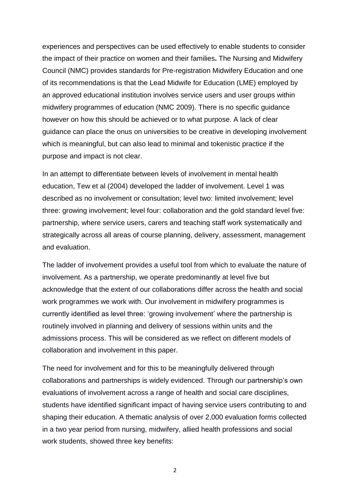experiences and perspectives can be used effectively to enable students to consider the impact of their practice on women and their families**.** The Nursing and Midwifery Council (NMC) provides standards for Pre-registration Midwifery Education and one of its recommendations is that the Lead Midwife for Education (LME) employed by an approved educational institution involves service users and user groups within midwifery programmes of education (NMC 2009). There is no specific guidance however on how this should be achieved or to what purpose. A lack of clear guidance can place the onus on universities to be creative in developing involvement which is meaningful, but can also lead to minimal and tokenistic practice if the purpose and impact is not clear.

In an attempt to differentiate between levels of involvement in mental health education, Tew et al (2004) developed the ladder of involvement. Level 1 was described as no involvement or consultation; level two: limited involvement; level three: growing involvement; level four: collaboration and the gold standard level five: partnership, where service users, carers and teaching staff work systematically and strategically across all areas of course planning, delivery, assessment, management and evaluation.

The ladder of involvement provides a useful tool from which to evaluate the nature of involvement. As a partnership, we operate predominantly at level five but acknowledge that the extent of our collaborations differ across the health and social work programmes we work with. Our involvement in midwifery programmes is currently identified as level three: 'growing involvement' where the partnership is routinely involved in planning and delivery of sessions within units and the admissions process. This will be considered as we reflect on different models of collaboration and involvement in this paper.

The need for involvement and for this to be meaningfully delivered through collaborations and partnerships is widely evidenced. Through our partnership's own evaluations of involvement across a range of health and social care disciplines, students have identified significant impact of having service users contributing to and shaping their education. A thematic analysis of over 2,000 evaluation forms collected in a two year period from nursing, midwifery, allied health professions and social work students, showed three key benefits: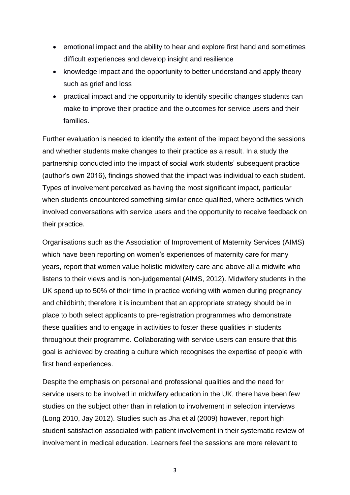- emotional impact and the ability to hear and explore first hand and sometimes difficult experiences and develop insight and resilience
- knowledge impact and the opportunity to better understand and apply theory such as grief and loss
- practical impact and the opportunity to identify specific changes students can make to improve their practice and the outcomes for service users and their families.

Further evaluation is needed to identify the extent of the impact beyond the sessions and whether students make changes to their practice as a result. In a study the partnership conducted into the impact of social work students' subsequent practice (author's own 2016), findings showed that the impact was individual to each student. Types of involvement perceived as having the most significant impact, particular when students encountered something similar once qualified, where activities which involved conversations with service users and the opportunity to receive feedback on their practice.

Organisations such as the Association of Improvement of Maternity Services (AIMS) which have been reporting on women's experiences of maternity care for many years, report that women value holistic midwifery care and above all a midwife who listens to their views and is non-judgemental (AIMS, 2012). Midwifery students in the UK spend up to 50% of their time in practice working with women during pregnancy and childbirth; therefore it is incumbent that an appropriate strategy should be in place to both select applicants to pre-registration programmes who demonstrate these qualities and to engage in activities to foster these qualities in students throughout their programme. Collaborating with service users can ensure that this goal is achieved by creating a culture which recognises the expertise of people with first hand experiences.

Despite the emphasis on personal and professional qualities and the need for service users to be involved in midwifery education in the UK, there have been few studies on the subject other than in relation to involvement in selection interviews (Long 2010, Jay 2012). Studies such as Jha et al (2009) however, report high student satisfaction associated with patient involvement in their systematic review of involvement in medical education. Learners feel the sessions are more relevant to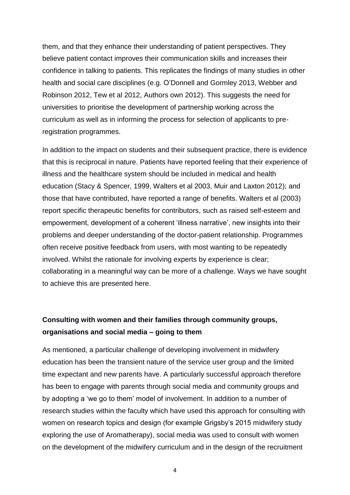them, and that they enhance their understanding of patient perspectives. They believe patient contact improves their communication skills and increases their confidence in talking to patients. This replicates the findings of many studies in other health and social care disciplines (e.g. O'Donnell and Gormley 2013, Webber and Robinson 2012, Tew et al 2012, Authors own 2012). This suggests the need for universities to prioritise the development of partnership working across the curriculum as well as in informing the process for selection of applicants to preregistration programmes.

In addition to the impact on students and their subsequent practice, there is evidence that this is reciprocal in nature. Patients have reported feeling that their experience of illness and the healthcare system should be included in medical and health education (Stacy & Spencer, 1999, Walters et al 2003, Muir and Laxton 2012); and those that have contributed, have reported a range of benefits. Walters et al (2003) report specific therapeutic benefits for contributors, such as raised self-esteem and empowerment, development of a coherent 'illness narrative', new insights into their problems and deeper understanding of the doctor-patient relationship. Programmes often receive positive feedback from users, with most wanting to be repeatedly involved. Whilst the rationale for involving experts by experience is clear; collaborating in a meaningful way can be more of a challenge. Ways we have sought to achieve this are presented here.

## **Consulting with women and their families through community groups, organisations and social media – going to them**

As mentioned, a particular challenge of developing involvement in midwifery education has been the transient nature of the service user group and the limited time expectant and new parents have. A particularly successful approach therefore has been to engage with parents through social media and community groups and by adopting a 'we go to them' model of involvement. In addition to a number of research studies within the faculty which have used this approach for consulting with women on research topics and design (for example Grigsby's 2015 midwifery study exploring the use of Aromatherapy), social media was used to consult with women on the development of the midwifery curriculum and in the design of the recruitment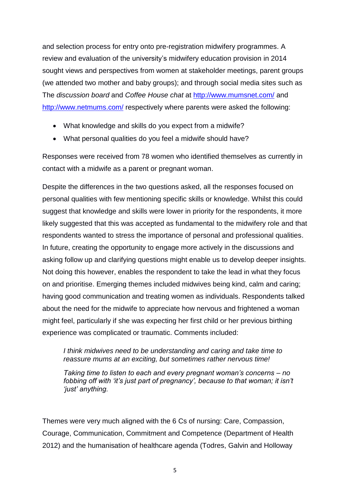and selection process for entry onto pre-registration midwifery programmes. A review and evaluation of the university's midwifery education provision in 2014 sought views and perspectives from women at stakeholder meetings, parent groups (we attended two mother and baby groups); and through social media sites such as The *discussion board* and *Coffee House chat* at <http://www.mumsnet.com/> and <http://www.netmums.com/> respectively where parents were asked the following:

- What knowledge and skills do you expect from a midwife?
- What personal qualities do you feel a midwife should have?

Responses were received from 78 women who identified themselves as currently in contact with a midwife as a parent or pregnant woman.

Despite the differences in the two questions asked, all the responses focused on personal qualities with few mentioning specific skills or knowledge. Whilst this could suggest that knowledge and skills were lower in priority for the respondents, it more likely suggested that this was accepted as fundamental to the midwifery role and that respondents wanted to stress the importance of personal and professional qualities. In future, creating the opportunity to engage more actively in the discussions and asking follow up and clarifying questions might enable us to develop deeper insights. Not doing this however, enables the respondent to take the lead in what they focus on and prioritise. Emerging themes included midwives being kind, calm and caring; having good communication and treating women as individuals. Respondents talked about the need for the midwife to appreciate how nervous and frightened a woman might feel, particularly if she was expecting her first child or her previous birthing experience was complicated or traumatic. Comments included:

*I think midwives need to be understanding and caring and take time to reassure mums at an exciting, but sometimes rather nervous time!*

*Taking time to listen to each and every pregnant woman's concerns – no*  fobbing off with 'it's just part of pregnancy', because to that woman; it isn't *'just' anything.*

Themes were very much aligned with the 6 Cs of nursing: Care, Compassion, Courage, Communication, Commitment and Competence (Department of Health 2012) and the humanisation of healthcare agenda (Todres, Galvin and Holloway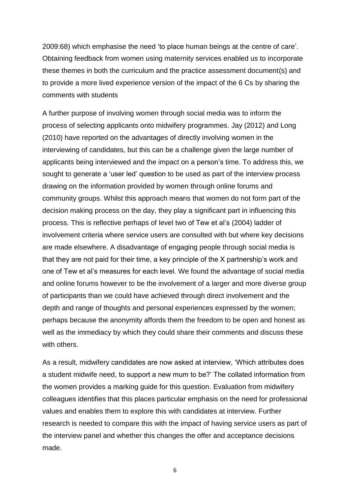2009:68) which emphasise the need 'to place human beings at the centre of care'. Obtaining feedback from women using maternity services enabled us to incorporate these themes in both the curriculum and the practice assessment document(s) and to provide a more lived experience version of the impact of the 6 Cs by sharing the comments with students

A further purpose of involving women through social media was to inform the process of selecting applicants onto midwifery programmes. Jay (2012) and Long (2010) have reported on the advantages of directly involving women in the interviewing of candidates, but this can be a challenge given the large number of applicants being interviewed and the impact on a person's time. To address this, we sought to generate a 'user led' question to be used as part of the interview process drawing on the information provided by women through online forums and community groups. Whilst this approach means that women do not form part of the decision making process on the day, they play a significant part in influencing this process. This is reflective perhaps of level two of Tew et al's (2004) ladder of involvement criteria where service users are consulted with but where key decisions are made elsewhere. A disadvantage of engaging people through social media is that they are not paid for their time, a key principle of the X partnership's work and one of Tew et al's measures for each level. We found the advantage of social media and online forums however to be the involvement of a larger and more diverse group of participants than we could have achieved through direct involvement and the depth and range of thoughts and personal experiences expressed by the women; perhaps because the anonymity affords them the freedom to be open and honest as well as the immediacy by which they could share their comments and discuss these with others.

As a result, midwifery candidates are now asked at interview, 'Which attributes does a student midwife need, to support a new mum to be?' The collated information from the women provides a marking guide for this question. Evaluation from midwifery colleagues identifies that this places particular emphasis on the need for professional values and enables them to explore this with candidates at interview. Further research is needed to compare this with the impact of having service users as part of the interview panel and whether this changes the offer and acceptance decisions made.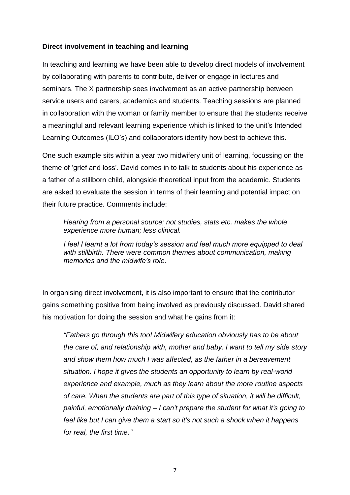### **Direct involvement in teaching and learning**

In teaching and learning we have been able to develop direct models of involvement by collaborating with parents to contribute, deliver or engage in lectures and seminars. The X partnership sees involvement as an active partnership between service users and carers, academics and students. Teaching sessions are planned in collaboration with the woman or family member to ensure that the students receive a meaningful and relevant learning experience which is linked to the unit's Intended Learning Outcomes (ILO's) and collaborators identify how best to achieve this.

One such example sits within a year two midwifery unit of learning, focussing on the theme of 'grief and loss'. David comes in to talk to students about his experience as a father of a stillborn child, alongside theoretical input from the academic. Students are asked to evaluate the session in terms of their learning and potential impact on their future practice. Comments include:

*Hearing from a personal source; not studies, stats etc. makes the whole experience more human; less clinical.*

*I feel I learnt a lot from today's session and feel much more equipped to deal with stillbirth. There were common themes about communication, making memories and the midwife's role.*

In organising direct involvement, it is also important to ensure that the contributor gains something positive from being involved as previously discussed. David shared his motivation for doing the session and what he gains from it:

*"Fathers go through this too! Midwifery education obviously has to be about the care of, and relationship with, mother and baby. I want to tell my side story and show them how much I was affected, as the father in a bereavement situation. I hope it gives the students an opportunity to learn by real-world experience and example, much as they learn about the more routine aspects of care. When the students are part of this type of situation, it will be difficult, painful, emotionally draining – I can't prepare the student for what it's going to feel like but I can give them a start so it's not such a shock when it happens for real, the first time."*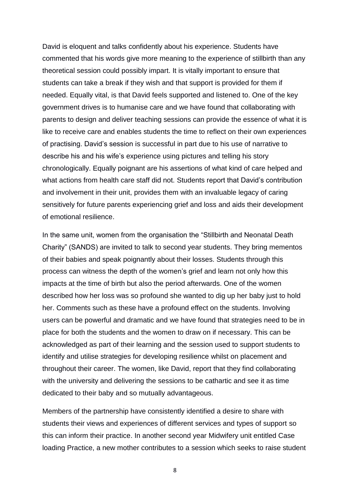David is eloquent and talks confidently about his experience. Students have commented that his words give more meaning to the experience of stillbirth than any theoretical session could possibly impart. It is vitally important to ensure that students can take a break if they wish and that support is provided for them if needed. Equally vital, is that David feels supported and listened to. One of the key government drives is to humanise care and we have found that collaborating with parents to design and deliver teaching sessions can provide the essence of what it is like to receive care and enables students the time to reflect on their own experiences of practising. David's session is successful in part due to his use of narrative to describe his and his wife's experience using pictures and telling his story chronologically. Equally poignant are his assertions of what kind of care helped and what actions from health care staff did not. Students report that David's contribution and involvement in their unit, provides them with an invaluable legacy of caring sensitively for future parents experiencing grief and loss and aids their development of emotional resilience.

In the same unit, women from the organisation the "Stillbirth and Neonatal Death Charity" (SANDS) are invited to talk to second year students. They bring mementos of their babies and speak poignantly about their losses. Students through this process can witness the depth of the women's grief and learn not only how this impacts at the time of birth but also the period afterwards. One of the women described how her loss was so profound she wanted to dig up her baby just to hold her. Comments such as these have a profound effect on the students. Involving users can be powerful and dramatic and we have found that strategies need to be in place for both the students and the women to draw on if necessary. This can be acknowledged as part of their learning and the session used to support students to identify and utilise strategies for developing resilience whilst on placement and throughout their career. The women, like David, report that they find collaborating with the university and delivering the sessions to be cathartic and see it as time dedicated to their baby and so mutually advantageous.

Members of the partnership have consistently identified a desire to share with students their views and experiences of different services and types of support so this can inform their practice. In another second year Midwifery unit entitled Case loading Practice, a new mother contributes to a session which seeks to raise student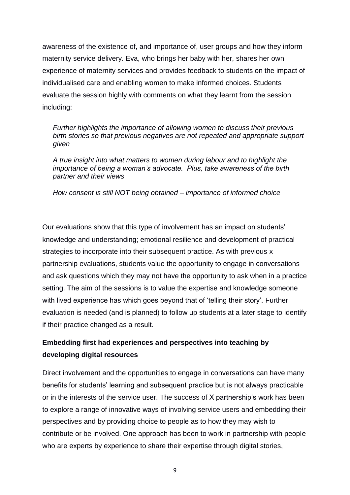awareness of the existence of, and importance of, user groups and how they inform maternity service delivery. Eva, who brings her baby with her, shares her own experience of maternity services and provides feedback to students on the impact of individualised care and enabling women to make informed choices. Students evaluate the session highly with comments on what they learnt from the session including:

*Further highlights the importance of allowing women to discuss their previous birth stories so that previous negatives are not repeated and appropriate support given*

*A true insight into what matters to women during labour and to highlight the importance of being a woman's advocate. Plus, take awareness of the birth partner and their views*

*How consent is still NOT being obtained – importance of informed choice*

Our evaluations show that this type of involvement has an impact on students' knowledge and understanding; emotional resilience and development of practical strategies to incorporate into their subsequent practice. As with previous x partnership evaluations, students value the opportunity to engage in conversations and ask questions which they may not have the opportunity to ask when in a practice setting. The aim of the sessions is to value the expertise and knowledge someone with lived experience has which goes beyond that of 'telling their story'. Further evaluation is needed (and is planned) to follow up students at a later stage to identify if their practice changed as a result.

# **Embedding first had experiences and perspectives into teaching by developing digital resources**

Direct involvement and the opportunities to engage in conversations can have many benefits for students' learning and subsequent practice but is not always practicable or in the interests of the service user. The success of X partnership's work has been to explore a range of innovative ways of involving service users and embedding their perspectives and by providing choice to people as to how they may wish to contribute or be involved. One approach has been to work in partnership with people who are experts by experience to share their expertise through digital stories,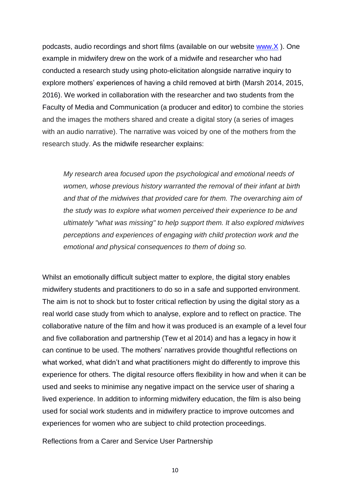podcasts, audio recordings and short films (available on our website [www.X](http://www.x/) ). One example in midwifery drew on the work of a midwife and researcher who had conducted a research study using photo-elicitation alongside narrative inquiry to explore mothers' experiences of having a child removed at birth (Marsh 2014, 2015, 2016). We worked in collaboration with the researcher and two students from the Faculty of Media and Communication (a producer and editor) to combine the stories and the images the mothers shared and create a digital story (a series of images with an audio narrative). The narrative was voiced by one of the mothers from the research study. As the midwife researcher explains:

*My research area focused upon the psychological and emotional needs of women, whose previous history warranted the removal of their infant at birth and that of the midwives that provided care for them. The overarching aim of the study was to explore what women perceived their experience to be and ultimately "what was missing" to help support them. It also explored midwives perceptions and experiences of engaging with child protection work and the emotional and physical consequences to them of doing so.*

Whilst an emotionally difficult subject matter to explore, the digital story enables midwifery students and practitioners to do so in a safe and supported environment. The aim is not to shock but to foster critical reflection by using the digital story as a real world case study from which to analyse, explore and to reflect on practice. The collaborative nature of the film and how it was produced is an example of a level four and five collaboration and partnership (Tew et al 2014) and has a legacy in how it can continue to be used. The mothers' narratives provide thoughtful reflections on what worked, what didn't and what practitioners might do differently to improve this experience for others. The digital resource offers flexibility in how and when it can be used and seeks to minimise any negative impact on the service user of sharing a lived experience. In addition to informing midwifery education, the film is also being used for social work students and in midwifery practice to improve outcomes and experiences for women who are subject to child protection proceedings.

Reflections from a Carer and Service User Partnership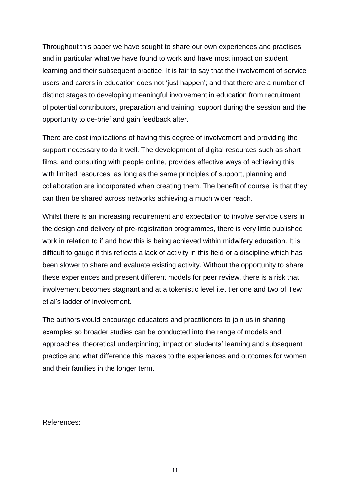Throughout this paper we have sought to share our own experiences and practises and in particular what we have found to work and have most impact on student learning and their subsequent practice. It is fair to say that the involvement of service users and carers in education does not 'just happen'; and that there are a number of distinct stages to developing meaningful involvement in education from recruitment of potential contributors, preparation and training, support during the session and the opportunity to de-brief and gain feedback after.

There are cost implications of having this degree of involvement and providing the support necessary to do it well. The development of digital resources such as short films, and consulting with people online, provides effective ways of achieving this with limited resources, as long as the same principles of support, planning and collaboration are incorporated when creating them. The benefit of course, is that they can then be shared across networks achieving a much wider reach.

Whilst there is an increasing requirement and expectation to involve service users in the design and delivery of pre-registration programmes, there is very little published work in relation to if and how this is being achieved within midwifery education. It is difficult to gauge if this reflects a lack of activity in this field or a discipline which has been slower to share and evaluate existing activity. Without the opportunity to share these experiences and present different models for peer review, there is a risk that involvement becomes stagnant and at a tokenistic level i.e. tier one and two of Tew et al's ladder of involvement.

The authors would encourage educators and practitioners to join us in sharing examples so broader studies can be conducted into the range of models and approaches; theoretical underpinning; impact on students' learning and subsequent practice and what difference this makes to the experiences and outcomes for women and their families in the longer term.

References: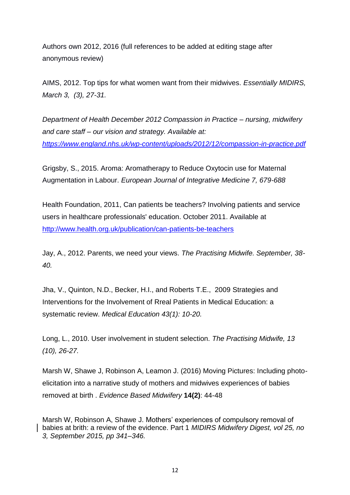Authors own 2012, 2016 (full references to be added at editing stage after anonymous review)

AIMS, 2012. Top tips for what women want from their midwives. *Essentially MIDIRS, March 3, (3), 27-31.* 

*Department of Health December 2012 Compassion in Practice – nursing, midwifery and care staff – our vision and strategy. Available at: <https://www.england.nhs.uk/wp-content/uploads/2012/12/compassion-in-practice.pdf>*

Grigsby, S., 2015. Aroma: Aromatherapy to Reduce Oxytocin use for Maternal Augmentation in Labour. *European Journal of Integrative Medicine 7, 679-688*

Health Foundation, 2011, Can patients be teachers? Involving patients and service users in healthcare professionals' education. October 2011. Available at <http://www.health.org.uk/publication/can-patients-be-teachers>

Jay, A., 2012. Parents, we need your views. *The Practising Midwife. September, 38- 40.*

Jha, V., Quinton, N.D., Becker, H.I., and Roberts T.E., 2009 Strategies and Interventions for the Involvement of Rreal Patients in Medical Education: a systematic review. *Medical Education 43(1): 10-20.*

Long, L., 2010. User involvement in student selection. *The Practising Midwife, 13 (10), 26-27.*

Marsh W, Shawe J, Robinson A, Leamon J. (2016) Moving Pictures: Including photoelicitation into a narrative study of mothers and midwives experiences of babies removed at birth . *Evidence Based Midwifery* **14(2)**: 44-48

Marsh W, Robinson A, Shawe J. Mothers' experiences of compulsory removal of babies at brith: a review of the evidence. Part 1 *MIDIRS Midwifery Digest, vol 25, no 3, September 2015, pp 341–346.*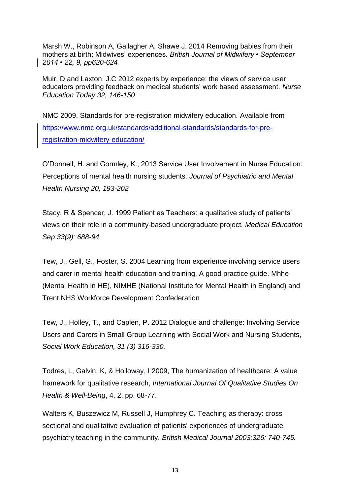Marsh W., Robinson A, Gallagher A, Shawe J. 2014 Removing babies from their mothers at birth: Midwives' experiences. *British Journal of Midwifery • September 2014 • 22, 9, pp620-624*

Muir, D and Laxton, J.C 2012 experts by experience: the views of service user educators providing feedback on medical students' work based assessment. *Nurse Education Today 32, 146-150*

NMC 2009. Standards for pre-registration midwifery education. Available from [https://www.nmc.org.uk/standards/additional-standards/standards-for-pre](https://www.nmc.org.uk/standards/additional-standards/standards-for-pre-registration-midwifery-education/)[registration-midwifery-education/](https://www.nmc.org.uk/standards/additional-standards/standards-for-pre-registration-midwifery-education/)

O'Donnell, H. and Gormley, K., 2013 Service User Involvement in Nurse Education: Perceptions of mental health nursing students. *Journal of Psychiatric and Mental Health Nursing 20, 193-202*

Stacy, R & Spencer, J. 1999 Patient as Teachers: a qualitative study of patients' views on their role in a community-based undergraduate project*. Medical Education Sep 33(9): 688-94*

Tew, J., Gell, G., Foster, S. 2004 Learning from experience involving service users and carer in mental health education and training. A good practice guide. Mhhe (Mental Health in HE), NIMHE (National Institute for Mental Health in England) and Trent NHS Workforce Development Confederation

Tew, J., Holley, T., and Caplen, P. 2012 Dialogue and challenge: Involving Service Users and Carers in Small Group Learning with Social Work and Nursing Students, *Social Work Education, 31 (3) 316-330.*

Todres, L, Galvin, K, & Holloway, I 2009, The humanization of healthcare: A value framework for qualitative research, *International Journal Of Qualitative Studies On Health & Well-Being*, 4, 2, pp. 68-77.

Walters K, Buszewicz M, Russell J, Humphrey C. Teaching as therapy: cross sectional and qualitative evaluation of patients' experiences of undergraduate psychiatry teaching in the community. *British Medical Journal 2003;326: 740-745.*